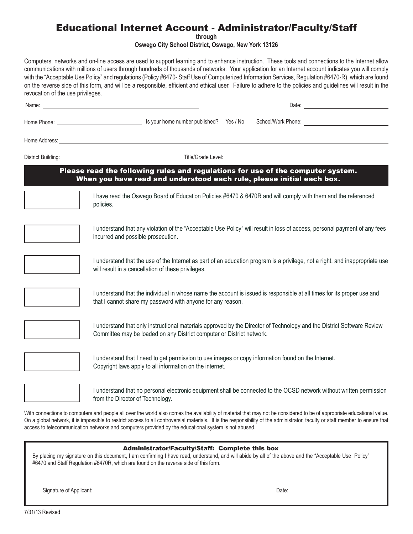# Educational Internet Account - Administrator/Faculty/Staff

**through**

**Oswego City School District, Oswego, New York 13126**

Computers, networks and on-line access are used to support learning and to enhance instruction. These tools and connections to the Internet allow communications with millions of users through hundreds of thousands of networks. Your application for an Internet account indicates you will comply with the "Acceptable Use Policy" and regulations (Policy #6470- Staff Use of Computerized Information Services, Regulation #6470-R), which are found on the reverse side of this form, and will be a responsible, efficient and ethical user. Failure to adhere to the policies and guidelines will result in the revocation of the use privileges.

|                                                                                                                                                          | Home Address: <u>example and the contract of the contract of the contract of the contract of the contract of the contract of the contract of the contract of the contract of the contract of the contract of the contract of the</u> |  |  |  |  |
|----------------------------------------------------------------------------------------------------------------------------------------------------------|--------------------------------------------------------------------------------------------------------------------------------------------------------------------------------------------------------------------------------------|--|--|--|--|
|                                                                                                                                                          |                                                                                                                                                                                                                                      |  |  |  |  |
| Please read the following rules and regulations for use of the computer system.<br>When you have read and understood each rule, please initial each box. |                                                                                                                                                                                                                                      |  |  |  |  |
|                                                                                                                                                          | I have read the Oswego Board of Education Policies #6470 & 6470R and will comply with them and the referenced<br>policies.                                                                                                           |  |  |  |  |
|                                                                                                                                                          | I understand that any violation of the "Acceptable Use Policy" will result in loss of access, personal payment of any fees<br>incurred and possible prosecution.                                                                     |  |  |  |  |
|                                                                                                                                                          | I understand that the use of the Internet as part of an education program is a privilege, not a right, and inappropriate use<br>will result in a cancellation of these privileges.                                                   |  |  |  |  |
|                                                                                                                                                          | I understand that the individual in whose name the account is issued is responsible at all times for its proper use and<br>that I cannot share my password with anyone for any reason.                                               |  |  |  |  |
|                                                                                                                                                          | I understand that only instructional materials approved by the Director of Technology and the District Software Review<br>Committee may be loaded on any District computer or District network.                                      |  |  |  |  |
|                                                                                                                                                          | I understand that I need to get permission to use images or copy information found on the Internet.<br>Copyright laws apply to all information on the internet.                                                                      |  |  |  |  |
|                                                                                                                                                          | I understand that no personal electronic equipment shall be connected to the OCSD network without written permission<br>from the Director of Technology.                                                                             |  |  |  |  |
|                                                                                                                                                          | With connections to computers and people all over the world also comes the availability of material that may not be considered to be of appropriate educational value                                                                |  |  |  |  |

Ie all over the world also comes the availability of material that ma On a global network, it is impossible to restrict access to all controversial materials. It is the responsibility of the administrator, faculty or staff member to ensure that access to telecommunication networks and computers provided by the educational system is not abused.

|                                                                                                                                                       | <b>Administrator/Faculty/Staff: Complete this box</b> |  |
|-------------------------------------------------------------------------------------------------------------------------------------------------------|-------------------------------------------------------|--|
| By placing my signature on this document, I am confirming I have read, understand, and will abide by all of the above and the "Acceptable Use Policy" |                                                       |  |

#6470 and Staff Regulation #6470R, which are found on the reverse side of this form.

Signature of Applicant: Date: Date: Date: Date: Date: Date: Date: Date: Date: Date: Date: Date: Date: Date: Date: Date: Date: Date: Date: Date: Date: Date: Date: Date: Date: Date: Date: Date: Date: Date: Date: Date: Date: